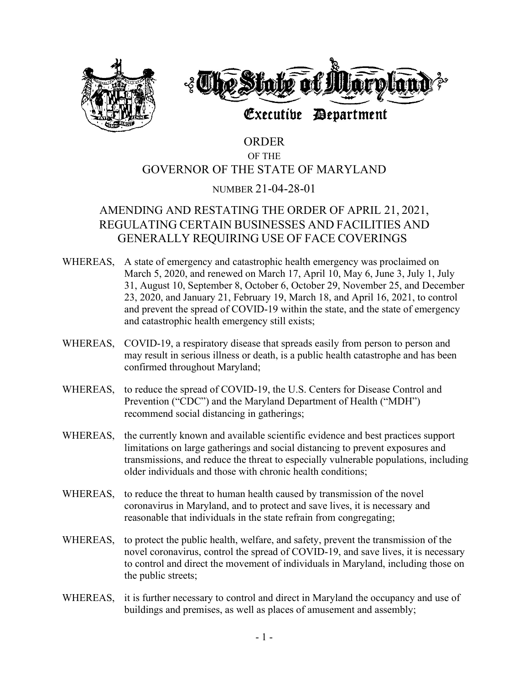



# Executive Department

# ORDER OF THE GOVERNOR OF THE STATE OF MARYLAND

# NUMBER 21-04-28-01

# AMENDING AND RESTATING THE ORDER OF APRIL 21, 2021, REGULATING CERTAIN BUSINESSES AND FACILITIES AND GENERALLY REQUIRING USE OF FACE COVERINGS

- WHEREAS, A state of emergency and catastrophic health emergency was proclaimed on March 5, 2020, and renewed on March 17, April 10, May 6, June 3, July 1, July 31, August 10, September 8, October 6, October 29, November 25, and December 23, 2020, and January 21, February 19, March 18, and April 16, 2021, to control and prevent the spread of COVID-19 within the state, and the state of emergency and catastrophic health emergency still exists;
- WHEREAS, COVID-19, a respiratory disease that spreads easily from person to person and may result in serious illness or death, is a public health catastrophe and has been confirmed throughout Maryland;
- WHEREAS, to reduce the spread of COVID-19, the U.S. Centers for Disease Control and Prevention ("CDC") and the Maryland Department of Health ("MDH") recommend social distancing in gatherings;
- WHEREAS, the currently known and available scientific evidence and best practices support limitations on large gatherings and social distancing to prevent exposures and transmissions, and reduce the threat to especially vulnerable populations, including older individuals and those with chronic health conditions;
- WHEREAS, to reduce the threat to human health caused by transmission of the novel coronavirus in Maryland, and to protect and save lives, it is necessary and reasonable that individuals in the state refrain from congregating;
- WHEREAS, to protect the public health, welfare, and safety, prevent the transmission of the novel coronavirus, control the spread of COVID-19, and save lives, it is necessary to control and direct the movement of individuals in Maryland, including those on the public streets;
- WHEREAS, it is further necessary to control and direct in Maryland the occupancy and use of buildings and premises, as well as places of amusement and assembly;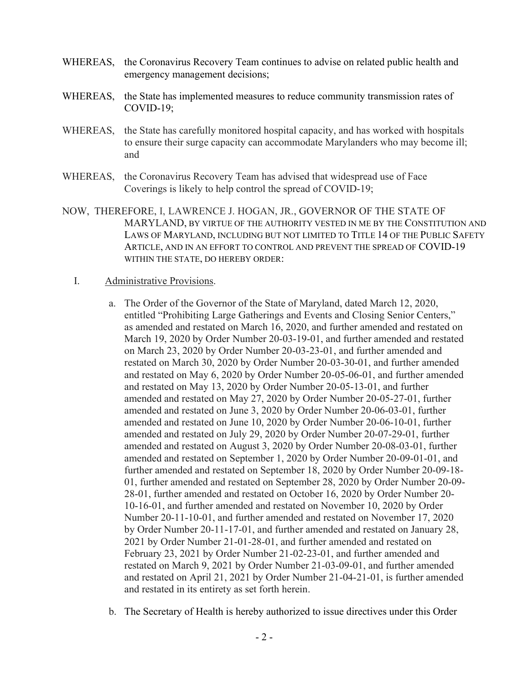- WHEREAS, the Coronavirus Recovery Team continues to advise on related public health and emergency management decisions;
- WHEREAS, the State has implemented measures to reduce community transmission rates of COVID-19;
- WHEREAS, the State has carefully monitored hospital capacity, and has worked with hospitals to ensure their surge capacity can accommodate Marylanders who may become ill; and
- WHEREAS, the Coronavirus Recovery Team has advised that widespread use of Face Coverings is likely to help control the spread of COVID-19;
- NOW, THEREFORE, I, LAWRENCE J. HOGAN, JR., GOVERNOR OF THE STATE OF MARYLAND, BY VIRTUE OF THE AUTHORITY VESTED IN ME BY THE CONSTITUTION AND LAWS OF MARYLAND, INCLUDING BUT NOT LIMITED TO TITLE 14 OF THE PUBLIC SAFETY ARTICLE, AND IN AN EFFORT TO CONTROL AND PREVENT THE SPREAD OF COVID-19 WITHIN THE STATE, DO HEREBY ORDER:

#### I. Administrative Provisions.

- a. The Order of the Governor of the State of Maryland, dated March 12, 2020, entitled "Prohibiting Large Gatherings and Events and Closing Senior Centers," as amended and restated on March 16, 2020, and further amended and restated on March 19, 2020 by Order Number 20-03-19-01, and further amended and restated on March 23, 2020 by Order Number 20-03-23-01, and further amended and restated on March 30, 2020 by Order Number 20-03-30-01, and further amended and restated on May 6, 2020 by Order Number 20-05-06-01, and further amended and restated on May 13, 2020 by Order Number 20-05-13-01, and further amended and restated on May 27, 2020 by Order Number 20-05-27-01, further amended and restated on June 3, 2020 by Order Number 20-06-03-01, further amended and restated on June 10, 2020 by Order Number 20-06-10-01, further amended and restated on July 29, 2020 by Order Number 20-07-29-01, further amended and restated on August 3, 2020 by Order Number 20-08-03-01, further amended and restated on September 1, 2020 by Order Number 20-09-01-01, and further amended and restated on September 18, 2020 by Order Number 20-09-18- 01, further amended and restated on September 28, 2020 by Order Number 20-09- 28-01, further amended and restated on October 16, 2020 by Order Number 20- 10-16-01, and further amended and restated on November 10, 2020 by Order Number 20-11-10-01, and further amended and restated on November 17, 2020 by Order Number 20-11-17-01, and further amended and restated on January 28, 2021 by Order Number 21-01-28-01, and further amended and restated on February 23, 2021 by Order Number 21-02-23-01, and further amended and restated on March 9, 2021 by Order Number 21-03-09-01, and further amended and restated on April 21, 2021 by Order Number 21-04-21-01, is further amended and restated in its entirety as set forth herein.
- b. The Secretary of Health is hereby authorized to issue directives under this Order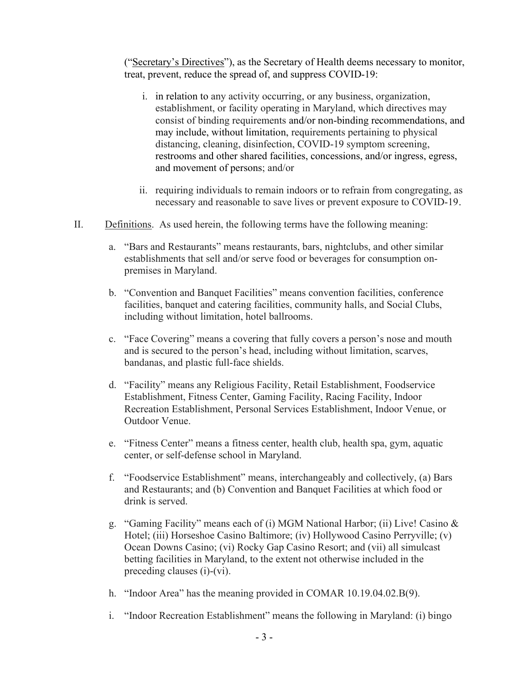("Secretary's Directives"), as the Secretary of Health deems necessary to monitor, treat, prevent, reduce the spread of, and suppress COVID-19:

- i. in relation to any activity occurring, or any business, organization, establishment, or facility operating in Maryland, which directives may consist of binding requirements and/or non-binding recommendations, and may include, without limitation, requirements pertaining to physical distancing, cleaning, disinfection, COVID-19 symptom screening, restrooms and other shared facilities, concessions, and/or ingress, egress, and movement of persons; and/or
- ii. requiring individuals to remain indoors or to refrain from congregating, as necessary and reasonable to save lives or prevent exposure to COVID-19.
- II. Definitions. As used herein, the following terms have the following meaning:
	- a. "Bars and Restaurants" means restaurants, bars, nightclubs, and other similar establishments that sell and/or serve food or beverages for consumption onpremises in Maryland.
	- b. "Convention and Banquet Facilities" means convention facilities, conference facilities, banquet and catering facilities, community halls, and Social Clubs, including without limitation, hotel ballrooms.
	- c. "Face Covering" means a covering that fully covers a person's nose and mouth and is secured to the person's head, including without limitation, scarves, bandanas, and plastic full-face shields.
	- d. "Facility" means any Religious Facility, Retail Establishment, Foodservice Establishment, Fitness Center, Gaming Facility, Racing Facility, Indoor Recreation Establishment, Personal Services Establishment, Indoor Venue, or Outdoor Venue.
	- e. "Fitness Center" means a fitness center, health club, health spa, gym, aquatic center, or self-defense school in Maryland.
	- f. "Foodservice Establishment" means, interchangeably and collectively, (a) Bars and Restaurants; and (b) Convention and Banquet Facilities at which food or drink is served.
	- g. "Gaming Facility" means each of (i) MGM National Harbor; (ii) Live! Casino & Hotel; (iii) Horseshoe Casino Baltimore; (iv) Hollywood Casino Perryville; (v) Ocean Downs Casino; (vi) Rocky Gap Casino Resort; and (vii) all simulcast betting facilities in Maryland, to the extent not otherwise included in the preceding clauses (i)-(vi).
	- h. "Indoor Area" has the meaning provided in COMAR 10.19.04.02.B(9).
	- i. "Indoor Recreation Establishment" means the following in Maryland: (i) bingo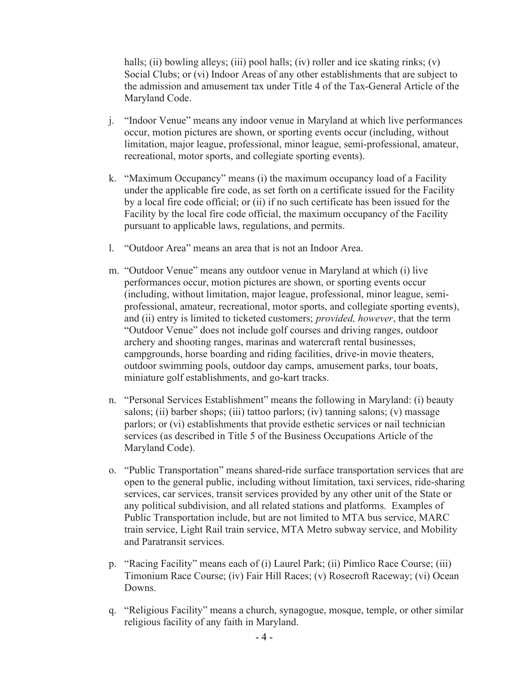halls; (ii) bowling alleys; (iii) pool halls; (iv) roller and ice skating rinks; (v) Social Clubs; or (vi) Indoor Areas of any other establishments that are subject to the admission and amusement tax under Title 4 of the Tax-General Article of the Maryland Code.

- j. "Indoor Venue" means any indoor venue in Maryland at which live performances occur, motion pictures are shown, or sporting events occur (including, without limitation, major league, professional, minor league, semi-professional, amateur, recreational, motor sports, and collegiate sporting events).
- k. "Maximum Occupancy" means (i) the maximum occupancy load of a Facility under the applicable fire code, as set forth on a certificate issued for the Facility by a local fire code official; or (ii) if no such certificate has been issued for the Facility by the local fire code official, the maximum occupancy of the Facility pursuant to applicable laws, regulations, and permits.
- l. "Outdoor Area" means an area that is not an Indoor Area.
- m. "Outdoor Venue" means any outdoor venue in Maryland at which (i) live performances occur, motion pictures are shown, or sporting events occur (including, without limitation, major league, professional, minor league, semiprofessional, amateur, recreational, motor sports, and collegiate sporting events), and (ii) entry is limited to ticketed customers; *provided, however*, that the term "Outdoor Venue" does not include golf courses and driving ranges, outdoor archery and shooting ranges, marinas and watercraft rental businesses, campgrounds, horse boarding and riding facilities, drive-in movie theaters, outdoor swimming pools, outdoor day camps, amusement parks, tour boats, miniature golf establishments, and go-kart tracks.
- n. "Personal Services Establishment" means the following in Maryland: (i) beauty salons; (ii) barber shops; (iii) tattoo parlors; (iv) tanning salons; (v) massage parlors; or (vi) establishments that provide esthetic services or nail technician services (as described in Title 5 of the Business Occupations Article of the Maryland Code).
- o. "Public Transportation" means shared-ride surface transportation services that are open to the general public, including without limitation, taxi services, ride-sharing services, car services, transit services provided by any other unit of the State or any political subdivision, and all related stations and platforms. Examples of Public Transportation include, but are not limited to MTA bus service, MARC train service, Light Rail train service, MTA Metro subway service, and Mobility and Paratransit services.
- p. "Racing Facility" means each of (i) Laurel Park; (ii) Pimlico Race Course; (iii) Timonium Race Course; (iv) Fair Hill Races; (v) Rosecroft Raceway; (vi) Ocean Downs.
- q. "Religious Facility" means a church, synagogue, mosque, temple, or other similar religious facility of any faith in Maryland.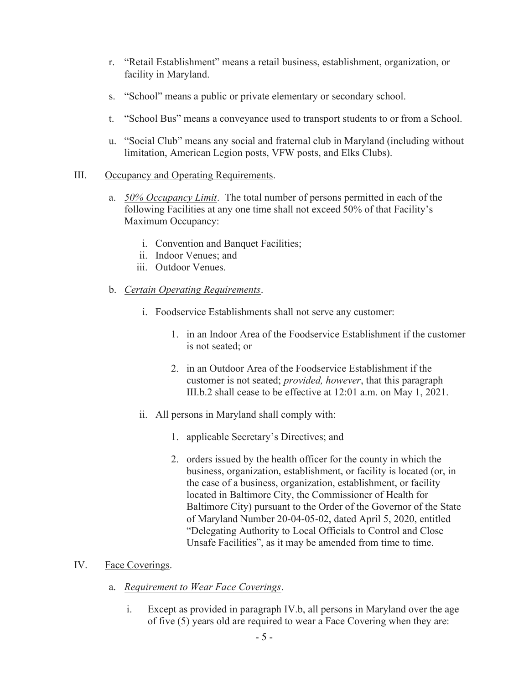- r. "Retail Establishment" means a retail business, establishment, organization, or facility in Maryland.
- s. "School" means a public or private elementary or secondary school.
- t. "School Bus" means a conveyance used to transport students to or from a School.
- u. "Social Club" means any social and fraternal club in Maryland (including without limitation, American Legion posts, VFW posts, and Elks Clubs).

### III. Occupancy and Operating Requirements.

- a. 50% Occupancy Limit. The total number of persons permitted in each of the following Facilities at any one time shall not exceed 50% of that Facility's Maximum Occupancy:
	- i. Convention and Banquet Facilities;
	- ii. Indoor Venues; and
	- iii. Outdoor Venues.
- b. Certain Operating Requirements.
	- i. Foodservice Establishments shall not serve any customer:
		- 1. in an Indoor Area of the Foodservice Establishment if the customer is not seated; or
		- 2. in an Outdoor Area of the Foodservice Establishment if the customer is not seated; *provided, however*, that this paragraph III.b.2 shall cease to be effective at 12:01 a.m. on May 1, 2021.
	- ii. All persons in Maryland shall comply with:
		- 1. applicable Secretary's Directives; and
		- 2. orders issued by the health officer for the county in which the business, organization, establishment, or facility is located (or, in the case of a business, organization, establishment, or facility located in Baltimore City, the Commissioner of Health for Baltimore City) pursuant to the Order of the Governor of the State of Maryland Number 20-04-05-02, dated April 5, 2020, entitled "Delegating Authority to Local Officials to Control and Close Unsafe Facilities", as it may be amended from time to time.

## IV. Face Coverings.

- a. Requirement to Wear Face Coverings.
	- i. Except as provided in paragraph IV.b, all persons in Maryland over the age of five (5) years old are required to wear a Face Covering when they are: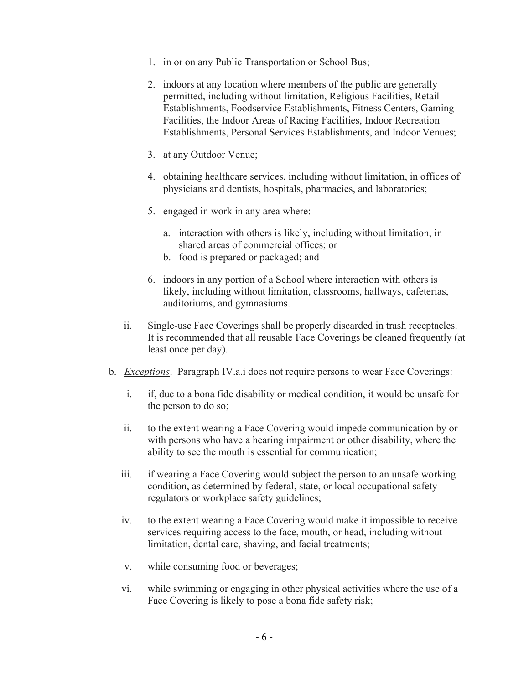- 1. in or on any Public Transportation or School Bus;
- 2. indoors at any location where members of the public are generally permitted, including without limitation, Religious Facilities, Retail Establishments, Foodservice Establishments, Fitness Centers, Gaming Facilities, the Indoor Areas of Racing Facilities, Indoor Recreation Establishments, Personal Services Establishments, and Indoor Venues;
- 3. at any Outdoor Venue;
- 4. obtaining healthcare services, including without limitation, in offices of physicians and dentists, hospitals, pharmacies, and laboratories;
- 5. engaged in work in any area where:
	- a. interaction with others is likely, including without limitation, in shared areas of commercial offices; or
	- b. food is prepared or packaged; and
- 6. indoors in any portion of a School where interaction with others is likely, including without limitation, classrooms, hallways, cafeterias, auditoriums, and gymnasiums.
- ii. Single-use Face Coverings shall be properly discarded in trash receptacles. It is recommended that all reusable Face Coverings be cleaned frequently (at least once per day).
- b. Exceptions. Paragraph IV.a.i does not require persons to wear Face Coverings:
	- i. if, due to a bona fide disability or medical condition, it would be unsafe for the person to do so;
	- ii. to the extent wearing a Face Covering would impede communication by or with persons who have a hearing impairment or other disability, where the ability to see the mouth is essential for communication;
	- iii. if wearing a Face Covering would subject the person to an unsafe working condition, as determined by federal, state, or local occupational safety regulators or workplace safety guidelines;
	- iv. to the extent wearing a Face Covering would make it impossible to receive services requiring access to the face, mouth, or head, including without limitation, dental care, shaving, and facial treatments;
	- v. while consuming food or beverages;
	- vi. while swimming or engaging in other physical activities where the use of a Face Covering is likely to pose a bona fide safety risk;